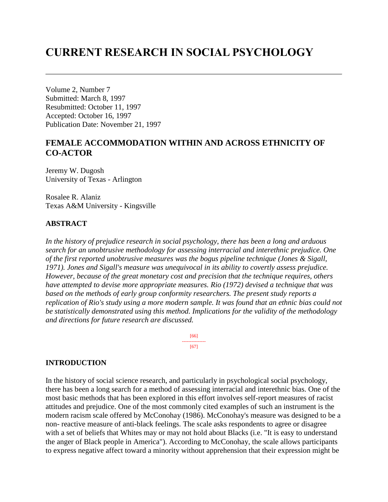# **CURRENT RESEARCH IN SOCIAL PSYCHOLOGY**

Volume 2, Number 7 Submitted: March 8, 1997 Resubmitted: October 11, 1997 Accepted: October 16, 1997 Publication Date: November 21, 1997

# **FEMALE ACCOMMODATION WITHIN AND ACROSS ETHNICITY OF CO-ACTOR**

Jeremy W. Dugosh University of Texas - Arlington

Rosalee R. Alaniz Texas A&M University - Kingsville

## **ABSTRACT**

*In the history of prejudice research in social psychology, there has been a long and arduous search for an unobtrusive methodology for assessing interracial and interethnic prejudice. One of the first reported unobtrusive measures was the bogus pipeline technique (Jones & Sigall, 1971). Jones and Sigall's measure was unequivocal in its ability to covertly assess prejudice. However, because of the great monetary cost and precision that the technique requires, others have attempted to devise more appropriate measures. Rio (1972) devised a technique that was based on the methods of early group conformity researchers. The present study reports a replication of Rio's study using a more modern sample. It was found that an ethnic bias could not be statistically demonstrated using this method. Implications for the validity of the methodology and directions for future research are discussed.*

> [66] --------------- [67]

#### **INTRODUCTION**

In the history of social science research, and particularly in psychological social psychology, there has been a long search for a method of assessing interracial and interethnic bias. One of the most basic methods that has been explored in this effort involves self-report measures of racist attitudes and prejudice. One of the most commonly cited examples of such an instrument is the modern racism scale offered by McConohay (1986). McConohay's measure was designed to be a non- reactive measure of anti-black feelings. The scale asks respondents to agree or disagree with a set of beliefs that Whites may or may not hold about Blacks (i.e. "It is easy to understand the anger of Black people in America"). According to McConohay, the scale allows participants to express negative affect toward a minority without apprehension that their expression might be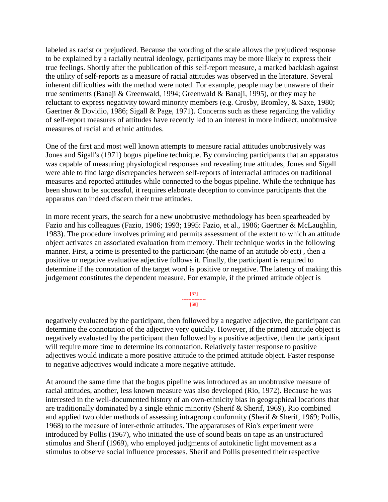labeled as racist or prejudiced. Because the wording of the scale allows the prejudiced response to be explained by a racially neutral ideology, participants may be more likely to express their true feelings. Shortly after the publication of this self-report measure, a marked backlash against the utility of self-reports as a measure of racial attitudes was observed in the literature. Several inherent difficulties with the method were noted. For example, people may be unaware of their true sentiments (Banaji & Greenwald, 1994; Greenwald & Banaji, 1995), or they may be reluctant to express negativity toward minority members (e.g. Crosby, Bromley, & Saxe, 1980; Gaertner & Dovidio, 1986; Sigall & Page, 1971). Concerns such as these regarding the validity of self-report measures of attitudes have recently led to an interest in more indirect, unobtrusive measures of racial and ethnic attitudes.

One of the first and most well known attempts to measure racial attitudes unobtrusively was Jones and Sigall's (1971) bogus pipeline technique. By convincing participants that an apparatus was capable of measuring physiological responses and revealing true attitudes, Jones and Sigall were able to find large discrepancies between self-reports of interracial attitudes on traditional measures and reported attitudes while connected to the bogus pipeline. While the technique has been shown to be successful, it requires elaborate deception to convince participants that the apparatus can indeed discern their true attitudes.

In more recent years, the search for a new unobtrusive methodology has been spearheaded by Fazio and his colleagues (Fazio, 1986; 1993; 1995: Fazio, et al., 1986; Gaertner & McLaughlin, 1983). The procedure involves priming and permits assessment of the extent to which an attitude object activates an associated evaluation from memory. Their technique works in the following manner. First, a prime is presented to the participant (the name of an attitude object) , then a positive or negative evaluative adjective follows it. Finally, the participant is required to determine if the connotation of the target word is positive or negative. The latency of making this judgement constitutes the dependent measure. For example, if the primed attitude object is

> [67] --------------- [68]

negatively evaluated by the participant, then followed by a negative adjective, the participant can determine the connotation of the adjective very quickly. However, if the primed attitude object is negatively evaluated by the participant then followed by a positive adjective, then the participant will require more time to determine its connotation. Relatively faster response to positive adjectives would indicate a more positive attitude to the primed attitude object. Faster response to negative adjectives would indicate a more negative attitude.

At around the same time that the bogus pipeline was introduced as an unobtrusive measure of racial attitudes, another, less known measure was also developed (Rio, 1972). Because he was interested in the well-documented history of an own-ethnicity bias in geographical locations that are traditionally dominated by a single ethnic minority (Sherif & Sherif, 1969), Rio combined and applied two older methods of assessing intragroup conformity (Sherif & Sherif, 1969; Pollis, 1968) to the measure of inter-ethnic attitudes. The apparatuses of Rio's experiment were introduced by Pollis (1967), who initiated the use of sound beats on tape as an unstructured stimulus and Sherif (1969), who employed judgments of autokinetic light movement as a stimulus to observe social influence processes. Sherif and Pollis presented their respective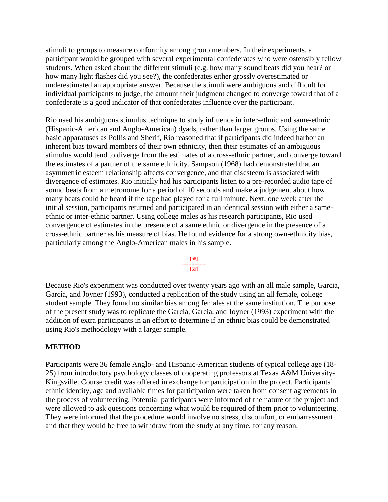stimuli to groups to measure conformity among group members. In their experiments, a participant would be grouped with several experimental confederates who were ostensibly fellow students. When asked about the different stimuli (e.g. how many sound beats did you hear? or how many light flashes did you see?), the confederates either grossly overestimated or underestimated an appropriate answer. Because the stimuli were ambiguous and difficult for individual participants to judge, the amount their judgment changed to converge toward that of a confederate is a good indicator of that confederates influence over the participant.

Rio used his ambiguous stimulus technique to study influence in inter-ethnic and same-ethnic (Hispanic-American and Anglo-American) dyads, rather than larger groups. Using the same basic apparatuses as Pollis and Sherif, Rio reasoned that if participants did indeed harbor an inherent bias toward members of their own ethnicity, then their estimates of an ambiguous stimulus would tend to diverge from the estimates of a cross-ethnic partner, and converge toward the estimates of a partner of the same ethnicity. Sampson (1968) had demonstrated that an asymmetric esteem relationship affects convergence, and that disesteem is associated with divergence of estimates. Rio initially had his participants listen to a pre-recorded audio tape of sound beats from a metronome for a period of 10 seconds and make a judgement about how many beats could be heard if the tape had played for a full minute. Next, one week after the initial session, participants returned and participated in an identical session with either a sameethnic or inter-ethnic partner. Using college males as his research participants, Rio used convergence of estimates in the presence of a same ethnic or divergence in the presence of a cross-ethnic partner as his measure of bias. He found evidence for a strong own-ethnicity bias, particularly among the Anglo-American males in his sample.

[68] --------------- [69]

Because Rio's experiment was conducted over twenty years ago with an all male sample, Garcia, Garcia, and Joyner (1993), conducted a replication of the study using an all female, college student sample. They found no similar bias among females at the same institution. The purpose of the present study was to replicate the Garcia, Garcia, and Joyner (1993) experiment with the addition of extra participants in an effort to determine if an ethnic bias could be demonstrated using Rio's methodology with a larger sample.

## **METHOD**

Participants were 36 female Anglo- and Hispanic-American students of typical college age (18- 25) from introductory psychology classes of cooperating professors at Texas A&M University-Kingsville. Course credit was offered in exchange for participation in the project. Participants' ethnic identity, age and available times for participation were taken from consent agreements in the process of volunteering. Potential participants were informed of the nature of the project and were allowed to ask questions concerning what would be required of them prior to volunteering. They were informed that the procedure would involve no stress, discomfort, or embarrassment and that they would be free to withdraw from the study at any time, for any reason.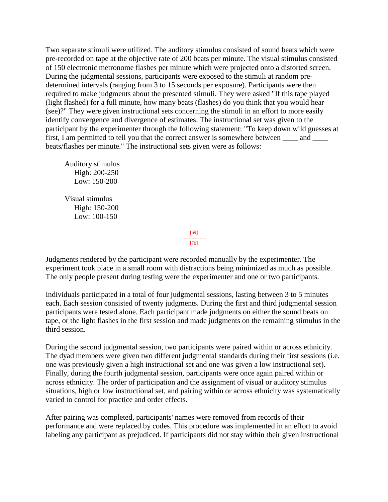Two separate stimuli were utilized. The auditory stimulus consisted of sound beats which were pre-recorded on tape at the objective rate of 200 beats per minute. The visual stimulus consisted of 150 electronic metronome flashes per minute which were projected onto a distorted screen. During the judgmental sessions, participants were exposed to the stimuli at random predetermined intervals (ranging from 3 to 15 seconds per exposure). Participants were then required to make judgments about the presented stimuli. They were asked "If this tape played (light flashed) for a full minute, how many beats (flashes) do you think that you would hear (see)?" They were given instructional sets concerning the stimuli in an effort to more easily identify convergence and divergence of estimates. The instructional set was given to the participant by the experimenter through the following statement: "To keep down wild guesses at first, I am permitted to tell you that the correct answer is somewhere between \_\_\_\_\_ and \_\_\_\_\_ beats/flashes per minute." The instructional sets given were as follows:

 Auditory stimulus High: 200-250 Low: 150-200 Visual stimulus High: 150-200 Low: 100-150

Judgments rendered by the participant were recorded manually by the experimenter. The experiment took place in a small room with distractions being minimized as much as possible. The only people present during testing were the experimenter and one or two participants.

[69] --------------- [70]

Individuals participated in a total of four judgmental sessions, lasting between 3 to 5 minutes each. Each session consisted of twenty judgments. During the first and third judgmental session participants were tested alone. Each participant made judgments on either the sound beats on tape, or the light flashes in the first session and made judgments on the remaining stimulus in the third session.

During the second judgmental session, two participants were paired within or across ethnicity. The dyad members were given two different judgmental standards during their first sessions (i.e. one was previously given a high instructional set and one was given a low instructional set). Finally, during the fourth judgmental session, participants were once again paired within or across ethnicity. The order of participation and the assignment of visual or auditory stimulus situations, high or low instructional set, and pairing within or across ethnicity was systematically varied to control for practice and order effects.

After pairing was completed, participants' names were removed from records of their performance and were replaced by codes. This procedure was implemented in an effort to avoid labeling any participant as prejudiced. If participants did not stay within their given instructional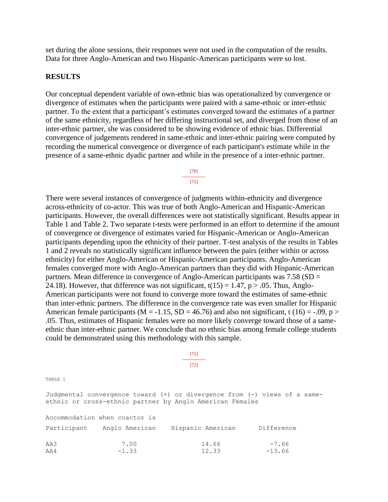set during the alone sessions, their responses were not used in the computation of the results. Data for three Anglo-American and two Hispanic-American participants were so lost.

#### **RESULTS**

Our conceptual dependent variable of own-ethnic bias was operationalized by convergence or divergence of estimates when the participants were paired with a same-ethnic or inter-ethnic partner. To the extent that a participant's estimates converged toward the estimates of a partner of the same ethnicity, regardless of her differing instructional set, and diverged from those of an inter-ethnic partner, she was considered to be showing evidence of ethnic bias. Differential convergence of judgements rendered in same-ethnic and inter-ethnic pairing were computed by recording the numerical convergence or divergence of each participant's estimate while in the presence of a same-ethnic dyadic partner and while in the presence of a inter-ethnic partner.

#### [70] --------------- [71]

There were several instances of convergence of judgments within-ethnicity and divergence across-ethnicity of co-actor. This was true of both Anglo-American and Hispanic-American participants. However, the overall differences were not statistically significant. Results appear in Table 1 and Table 2. Two separate t-tests were performed in an effort to determine if the amount of convergence or divergence of estimates varied for Hispanic-American or Anglo-American participants depending upon the ethnicity of their partner. T-test analysis of the results in Tables 1 and 2 reveals no statistically significant influence between the pairs (either within or across ethnicity) for either Anglo-American or Hispanic-American participants. Anglo-American females converged more with Anglo-American partners than they did with Hispanic-American partners. Mean difference in convergence of Anglo-American participants was 7.58 (SD = 24.18). However, that difference was not significant,  $t(15) = 1.47$ ,  $p > .05$ . Thus, Anglo-American participants were not found to converge more toward the estimates of same-ethnic than inter-ethnic partners. The difference in the convergence rate was even smaller for Hispanic American female participants ( $M = -1.15$ ,  $SD = 46.76$ ) and also not significant, t (16) = -.09, p > .05. Thus, estimates of Hispanic females were no more likely converge toward those of a sameethnic than inter-ethnic partner. We conclude that no ethnic bias among female college students could be demonstrated using this methodology with this sample.

#### [71] ---------------

[72]

TABLE 1

Judgmental convergence toward (+) or divergence from (-) views of a sameethnic or cross-ethnic partner by Anglo American Females

|             | Accommodation when coactor is |                   |            |
|-------------|-------------------------------|-------------------|------------|
| Participant | Anglo American                | Hispanic American | Difference |
| AA3         | 7.00                          | 14.66             | $-7.66$    |
| AA4         | $-1.33$                       | 12.33             | $-13.66$   |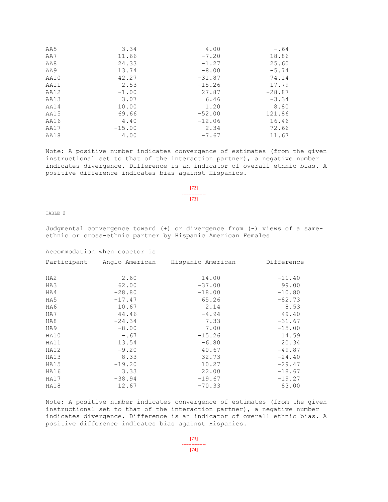| AA5  | 3.34     | 4.00     | $-.64$   |
|------|----------|----------|----------|
| AA7  | 11.66    | $-7.20$  | 18.86    |
| AA8  | 24.33    | $-1.27$  | 25.60    |
| AA9  | 13.74    | $-8.00$  | $-5.74$  |
| AA10 | 42.27    | $-31.87$ | 74.14    |
| AA11 | 2.53     | $-15.26$ | 17.79    |
| AA12 | $-1.00$  | 27.87    | $-28.87$ |
| AA13 | 3.07     | 6.46     | $-3.34$  |
| AA14 | 10.00    | 1.20     | 8.80     |
| AA15 | 69.66    | $-52.00$ | 121.86   |
| AA16 | 4.40     | $-12.06$ | 16.46    |
| AA17 | $-15.00$ | 2.34     | 72.66    |
| AA18 | 4.00     | $-7.67$  | 11.67    |

Note: A positive number indicates convergence of estimates (from the given instructional set to that of the interaction partner), a negative number indicates divergence. Difference is an indicator of overall ethnic bias. A positive difference indicates bias against Hispanics.

> [72] --------------- [73]

TABLE 2

Judgmental convergence toward (+) or divergence from (-) views of a sameethnic or cross-ethnic partner by Hispanic American Females

Accommodation when coactor is

| Participant | Anglo American | Hispanic American | Difference |
|-------------|----------------|-------------------|------------|
| HA2         | 2.60           | 14.00             | $-11.40$   |
| HA3         | 62.00          | $-37.00$          | 99.00      |
| HA4         | $-28.80$       | $-18.00$          | $-10.80$   |
| HA5         | $-17.47$       | 65.26             | $-82.73$   |
| HA6         | 10.67          | 2.14              | 8.53       |
| HA7         | 44.46          | $-4.94$           | 49.40      |
| HA8         | $-24.34$       | 7.33              | $-31.67$   |
| HA9         | $-8.00$        | 7.00              | $-15.00$   |
| HA10        | $-0.67$        | $-15.26$          | 14.59      |
| HA11        | 13.54          | $-6.80$           | 20.34      |
| HA12        | $-9.20$        | 40.67             | $-49.87$   |
| HA13        | 8.33           | 32.73             | $-24.40$   |
| HA15        | $-19.20$       | 10.27             | $-29.47$   |
| HA16        | 3.33           | 22.00             | $-18.67$   |
| HA17        | $-38.94$       | $-19.67$          | $-19.27$   |
| HA18        | 12.67          | $-70.33$          | 83.00      |

Note: A positive number indicates convergence of estimates (from the given instructional set to that of the interaction partner), a negative number indicates divergence. Difference is an indicator of overall ethnic bias. A positive difference indicates bias against Hispanics.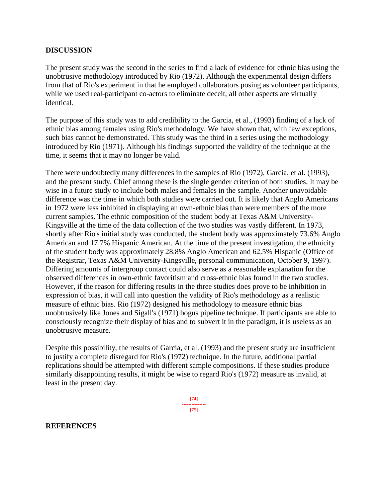### **DISCUSSION**

The present study was the second in the series to find a lack of evidence for ethnic bias using the unobtrusive methodology introduced by Rio (1972). Although the experimental design differs from that of Rio's experiment in that he employed collaborators posing as volunteer participants, while we used real-participant co-actors to eliminate deceit, all other aspects are virtually identical.

The purpose of this study was to add credibility to the Garcia, et al., (1993) finding of a lack of ethnic bias among females using Rio's methodology. We have shown that, with few exceptions, such bias cannot be demonstrated. This study was the third in a series using the methodology introduced by Rio (1971). Although his findings supported the validity of the technique at the time, it seems that it may no longer be valid.

There were undoubtedly many differences in the samples of Rio (1972), Garcia, et al. (1993), and the present study. Chief among these is the single gender criterion of both studies. It may be wise in a future study to include both males and females in the sample. Another unavoidable difference was the time in which both studies were carried out. It is likely that Anglo Americans in 1972 were less inhibited in displaying an own-ethnic bias than were members of the more current samples. The ethnic composition of the student body at Texas A&M University-Kingsville at the time of the data collection of the two studies was vastly different. In 1973, shortly after Rio's initial study was conducted, the student body was approximately 73.6% Anglo American and 17.7% Hispanic American. At the time of the present investigation, the ethnicity of the student body was approximately 28.8% Anglo American and 62.5% Hispanic (Office of the Registrar, Texas A&M University-Kingsville, personal communication, October 9, 1997). Differing amounts of intergroup contact could also serve as a reasonable explanation for the observed differences in own-ethnic favoritism and cross-ethnic bias found in the two studies. However, if the reason for differing results in the three studies does prove to be inhibition in expression of bias, it will call into question the validity of Rio's methodology as a realistic measure of ethnic bias. Rio (1972) designed his methodology to measure ethnic bias unobtrusively like Jones and Sigall's (1971) bogus pipeline technique. If participants are able to consciously recognize their display of bias and to subvert it in the paradigm, it is useless as an unobtrusive measure.

Despite this possibility, the results of Garcia, et al. (1993) and the present study are insufficient to justify a complete disregard for Rio's (1972) technique. In the future, additional partial replications should be attempted with different sample compositions. If these studies produce similarly disappointing results, it might be wise to regard Rio's (1972) measure as invalid, at least in the present day.

> [74] --------------- [75]

#### **REFERENCES**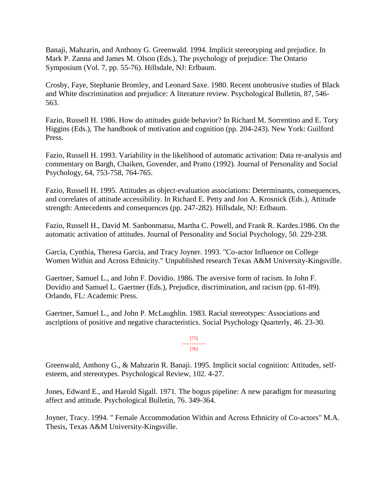Banaji, Mahzarin, and Anthony G. Greenwald. 1994. Implicit stereotyping and prejudice. In Mark P. Zanna and James M. Olson (Eds.), The psychology of prejudice: The Ontario Symposium (Vol. 7, pp. 55-76). Hillsdale, NJ: Erlbaum.

Crosby, Faye, Stephanie Bromley, and Leonard Saxe. 1980. Recent unobtrusive studies of Black and White discrimination and prejudice: A literature review. Psychological Bulletin, 87, 546- 563.

Fazio, Russell H. 1986. How do attitudes guide behavior? In Richard M. Sorrentino and E. Tory Higgins (Eds.), The handbook of motivation and cognition (pp. 204-243). New York: Guilford Press.

Fazio, Russell H. 1993. Variability in the likelihood of automatic activation: Data re-analysis and commentary on Bargh, Chaiken, Govender, and Pratto (1992). Journal of Personality and Social Psychology, 64, 753-758, 764-765.

Fazio, Russell H. 1995. Attitudes as object-evaluation associations: Determinants, consequences, and correlates of attitude accessibility. In Richard E. Petty and Jon A. Krosnick (Eds.), Attitude strength: Antecedents and consequences (pp. 247-282). Hillsdale, NJ: Erlbaum.

Fazio, Russell H., David M. Sanbonmatsu, Martha C. Powell, and Frank R. Kardes.1986. On the automatic activation of attitudes. Journal of Personality and Social Psychology, 50. 229-238.

Garcia, Cynthia, Theresa Garcia, and Tracy Joyner. 1993. "Co-actor Influence on College Women Within and Across Ethnicity." Unpublished research Texas A&M University-Kingsville.

Gaertner, Samuel L., and John F. Dovidio. 1986. The aversive form of racism. In John F. Dovidio and Samuel L. Gaertner (Eds.), Prejudice, discrimination, and racism (pp. 61-89). Orlando, FL: Academic Press.

Gaertner, Samuel L., and John P. McLaughlin. 1983. Racial stereotypes: Associations and ascriptions of positive and negative characteristics. Social Psychology Quarterly, 46. 23-30.

> [75] --------------- [76]

Greenwald, Anthony G., & Mahzarin R. Banaji. 1995. Implicit social cognition: Attitudes, selfesteem, and stereotypes. Psychological Review, 102. 4-27.

Jones, Edward E., and Harold Sigall. 1971. The bogus pipeline: A new paradigm for measuring affect and attitude. Psychological Bulletin, 76. 349-364.

Joyner, Tracy. 1994. " Female Accommodation Within and Across Ethnicity of Co-actors" M.A. Thesis, Texas A&M University-Kingsville.